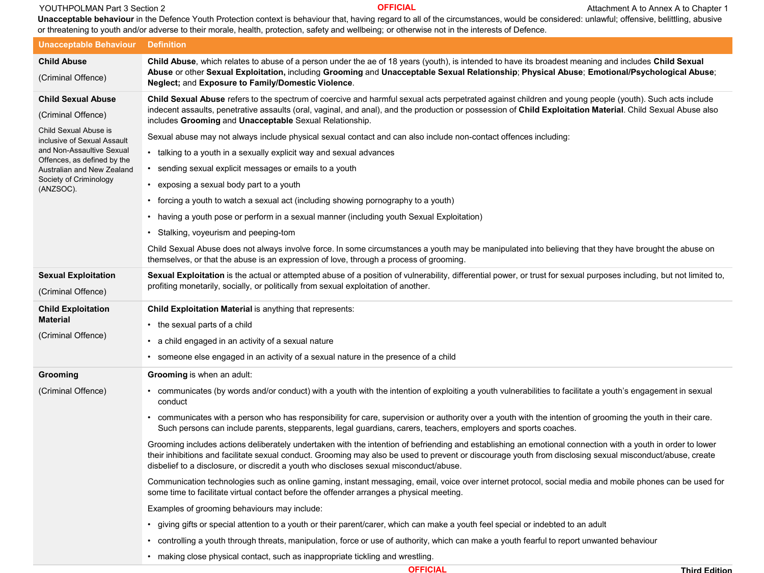## **CONTHAT ATTACHMAN Part 3 Section 2** Attachment A to Annex A to Chapter 1 **OFFICIAL** Attachment A to Annex A to Chapter 1

**Unacceptable behaviour** in the Defence Youth Protection context is behaviour that, having regard to all of the circumstances, would be considered: unlawful; offensive, belittling, abusive or threatening to youth and/or adverse to their morale, health, protection, safety and wellbeing; or otherwise not in the interests of Defence.

| <b>Unacceptable Behaviour</b>                                                                                                                                                                                                            | <b>Definition</b>                                                                                                                                                                                                                                                                                                                                                                                                                                                                                                                                                                                                                                                                                                                                                                                                                                                                                                                                                                                                                                                                                                                                           |
|------------------------------------------------------------------------------------------------------------------------------------------------------------------------------------------------------------------------------------------|-------------------------------------------------------------------------------------------------------------------------------------------------------------------------------------------------------------------------------------------------------------------------------------------------------------------------------------------------------------------------------------------------------------------------------------------------------------------------------------------------------------------------------------------------------------------------------------------------------------------------------------------------------------------------------------------------------------------------------------------------------------------------------------------------------------------------------------------------------------------------------------------------------------------------------------------------------------------------------------------------------------------------------------------------------------------------------------------------------------------------------------------------------------|
| <b>Child Abuse</b><br>(Criminal Offence)                                                                                                                                                                                                 | Child Abuse, which relates to abuse of a person under the ae of 18 years (youth), is intended to have its broadest meaning and includes Child Sexual<br>Abuse or other Sexual Exploitation, including Grooming and Unacceptable Sexual Relationship; Physical Abuse; Emotional/Psychological Abuse;<br>Neglect; and Exposure to Family/Domestic Violence.                                                                                                                                                                                                                                                                                                                                                                                                                                                                                                                                                                                                                                                                                                                                                                                                   |
| <b>Child Sexual Abuse</b><br>(Criminal Offence)<br>Child Sexual Abuse is<br>inclusive of Sexual Assault<br>and Non-Assaultive Sexual<br>Offences, as defined by the<br>Australian and New Zealand<br>Society of Criminology<br>(ANZSOC). | Child Sexual Abuse refers to the spectrum of coercive and harmful sexual acts perpetrated against children and young people (youth). Such acts include<br>indecent assaults, penetrative assaults (oral, vaginal, and anal), and the production or possession of Child Exploitation Material. Child Sexual Abuse also<br>includes Grooming and Unacceptable Sexual Relationship.<br>Sexual abuse may not always include physical sexual contact and can also include non-contact offences including:<br>• talking to a youth in a sexually explicit way and sexual advances<br>• sending sexual explicit messages or emails to a youth<br>exposing a sexual body part to a youth<br>• forcing a youth to watch a sexual act (including showing pornography to a youth)<br>having a youth pose or perform in a sexual manner (including youth Sexual Exploitation)<br>Stalking, voyeurism and peeping-tom<br>Child Sexual Abuse does not always involve force. In some circumstances a youth may be manipulated into believing that they have brought the abuse on<br>themselves, or that the abuse is an expression of love, through a process of grooming. |
| <b>Sexual Exploitation</b><br>(Criminal Offence)                                                                                                                                                                                         | Sexual Exploitation is the actual or attempted abuse of a position of vulnerability, differential power, or trust for sexual purposes including, but not limited to,<br>profiting monetarily, socially, or politically from sexual exploitation of another.                                                                                                                                                                                                                                                                                                                                                                                                                                                                                                                                                                                                                                                                                                                                                                                                                                                                                                 |
| <b>Child Exploitation</b><br><b>Material</b><br>(Criminal Offence)                                                                                                                                                                       | <b>Child Exploitation Material is anything that represents:</b><br>• the sexual parts of a child<br>a child engaged in an activity of a sexual nature<br>$\bullet$<br>someone else engaged in an activity of a sexual nature in the presence of a child                                                                                                                                                                                                                                                                                                                                                                                                                                                                                                                                                                                                                                                                                                                                                                                                                                                                                                     |
| Grooming                                                                                                                                                                                                                                 | <b>Grooming</b> is when an adult:                                                                                                                                                                                                                                                                                                                                                                                                                                                                                                                                                                                                                                                                                                                                                                                                                                                                                                                                                                                                                                                                                                                           |
| (Criminal Offence)                                                                                                                                                                                                                       | • communicates (by words and/or conduct) with a youth with the intention of exploiting a youth vulnerabilities to facilitate a youth's engagement in sexual<br>conduct<br>• communicates with a person who has responsibility for care, supervision or authority over a youth with the intention of grooming the youth in their care.<br>Such persons can include parents, stepparents, legal guardians, carers, teachers, employers and sports coaches.<br>Grooming includes actions deliberately undertaken with the intention of befriending and establishing an emotional connection with a youth in order to lower                                                                                                                                                                                                                                                                                                                                                                                                                                                                                                                                     |
|                                                                                                                                                                                                                                          | their inhibitions and facilitate sexual conduct. Grooming may also be used to prevent or discourage youth from disclosing sexual misconduct/abuse, create<br>disbelief to a disclosure, or discredit a youth who discloses sexual misconduct/abuse.                                                                                                                                                                                                                                                                                                                                                                                                                                                                                                                                                                                                                                                                                                                                                                                                                                                                                                         |
|                                                                                                                                                                                                                                          | Communication technologies such as online gaming, instant messaging, email, voice over internet protocol, social media and mobile phones can be used for<br>some time to facilitate virtual contact before the offender arranges a physical meeting.                                                                                                                                                                                                                                                                                                                                                                                                                                                                                                                                                                                                                                                                                                                                                                                                                                                                                                        |
|                                                                                                                                                                                                                                          | Examples of grooming behaviours may include:                                                                                                                                                                                                                                                                                                                                                                                                                                                                                                                                                                                                                                                                                                                                                                                                                                                                                                                                                                                                                                                                                                                |
|                                                                                                                                                                                                                                          | • giving gifts or special attention to a youth or their parent/carer, which can make a youth feel special or indebted to an adult                                                                                                                                                                                                                                                                                                                                                                                                                                                                                                                                                                                                                                                                                                                                                                                                                                                                                                                                                                                                                           |
|                                                                                                                                                                                                                                          | • controlling a youth through threats, manipulation, force or use of authority, which can make a youth fearful to report unwanted behaviour                                                                                                                                                                                                                                                                                                                                                                                                                                                                                                                                                                                                                                                                                                                                                                                                                                                                                                                                                                                                                 |
|                                                                                                                                                                                                                                          | making close physical contact, such as inappropriate tickling and wrestling.                                                                                                                                                                                                                                                                                                                                                                                                                                                                                                                                                                                                                                                                                                                                                                                                                                                                                                                                                                                                                                                                                |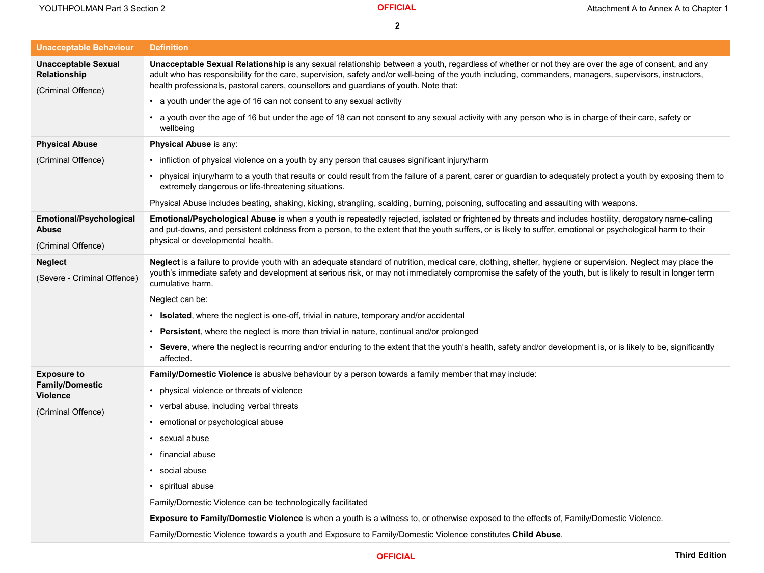| <b>Unacceptable Behaviour</b>                                           | <b>Definition</b>                                                                                                                                                                                                                                                                                                                                                                                        |
|-------------------------------------------------------------------------|----------------------------------------------------------------------------------------------------------------------------------------------------------------------------------------------------------------------------------------------------------------------------------------------------------------------------------------------------------------------------------------------------------|
| <b>Unacceptable Sexual</b><br><b>Relationship</b><br>(Criminal Offence) | Unacceptable Sexual Relationship is any sexual relationship between a youth, regardless of whether or not they are over the age of consent, and any<br>adult who has responsibility for the care, supervision, safety and/or well-being of the youth including, commanders, managers, supervisors, instructors,<br>health professionals, pastoral carers, counsellors and guardians of youth. Note that: |
|                                                                         | • a youth under the age of 16 can not consent to any sexual activity                                                                                                                                                                                                                                                                                                                                     |
|                                                                         | • a youth over the age of 16 but under the age of 18 can not consent to any sexual activity with any person who is in charge of their care, safety or<br>wellbeing                                                                                                                                                                                                                                       |
| <b>Physical Abuse</b>                                                   | Physical Abuse is any:                                                                                                                                                                                                                                                                                                                                                                                   |
| (Criminal Offence)                                                      | • infliction of physical violence on a youth by any person that causes significant injury/harm                                                                                                                                                                                                                                                                                                           |
|                                                                         | physical injury/harm to a youth that results or could result from the failure of a parent, carer or guardian to adequately protect a youth by exposing them to<br>extremely dangerous or life-threatening situations.                                                                                                                                                                                    |
|                                                                         | Physical Abuse includes beating, shaking, kicking, strangling, scalding, burning, poisoning, suffocating and assaulting with weapons.                                                                                                                                                                                                                                                                    |
| <b>Emotional/Psychological</b><br><b>Abuse</b><br>(Criminal Offence)    | Emotional/Psychological Abuse is when a youth is repeatedly rejected, isolated or frightened by threats and includes hostility, derogatory name-calling<br>and put-downs, and persistent coldness from a person, to the extent that the youth suffers, or is likely to suffer, emotional or psychological harm to their<br>physical or developmental health.                                             |
| <b>Neglect</b><br>(Severe - Criminal Offence)                           | Neglect is a failure to provide youth with an adequate standard of nutrition, medical care, clothing, shelter, hygiene or supervision. Neglect may place the<br>youth's immediate safety and development at serious risk, or may not immediately compromise the safety of the youth, but is likely to result in longer term<br>cumulative harm.                                                          |
|                                                                         | Neglect can be:                                                                                                                                                                                                                                                                                                                                                                                          |
|                                                                         | • Isolated, where the neglect is one-off, trivial in nature, temporary and/or accidental                                                                                                                                                                                                                                                                                                                 |
|                                                                         | • Persistent, where the neglect is more than trivial in nature, continual and/or prolonged                                                                                                                                                                                                                                                                                                               |
|                                                                         | • Severe, where the neglect is recurring and/or enduring to the extent that the youth's health, safety and/or development is, or is likely to be, significantly<br>affected.                                                                                                                                                                                                                             |
| <b>Exposure to</b><br><b>Family/Domestic</b><br><b>Violence</b>         | Family/Domestic Violence is abusive behaviour by a person towards a family member that may include:                                                                                                                                                                                                                                                                                                      |
|                                                                         | • physical violence or threats of violence                                                                                                                                                                                                                                                                                                                                                               |
| (Criminal Offence)                                                      | • verbal abuse, including verbal threats                                                                                                                                                                                                                                                                                                                                                                 |
|                                                                         | • emotional or psychological abuse                                                                                                                                                                                                                                                                                                                                                                       |
|                                                                         | • sexual abuse                                                                                                                                                                                                                                                                                                                                                                                           |
|                                                                         | • financial abuse                                                                                                                                                                                                                                                                                                                                                                                        |
|                                                                         | • social abuse                                                                                                                                                                                                                                                                                                                                                                                           |
|                                                                         | • spiritual abuse                                                                                                                                                                                                                                                                                                                                                                                        |
|                                                                         | Family/Domestic Violence can be technologically facilitated                                                                                                                                                                                                                                                                                                                                              |
|                                                                         | Exposure to Family/Domestic Violence is when a youth is a witness to, or otherwise exposed to the effects of, Family/Domestic Violence.                                                                                                                                                                                                                                                                  |
|                                                                         | Family/Domestic Violence towards a youth and Exposure to Family/Domestic Violence constitutes Child Abuse.                                                                                                                                                                                                                                                                                               |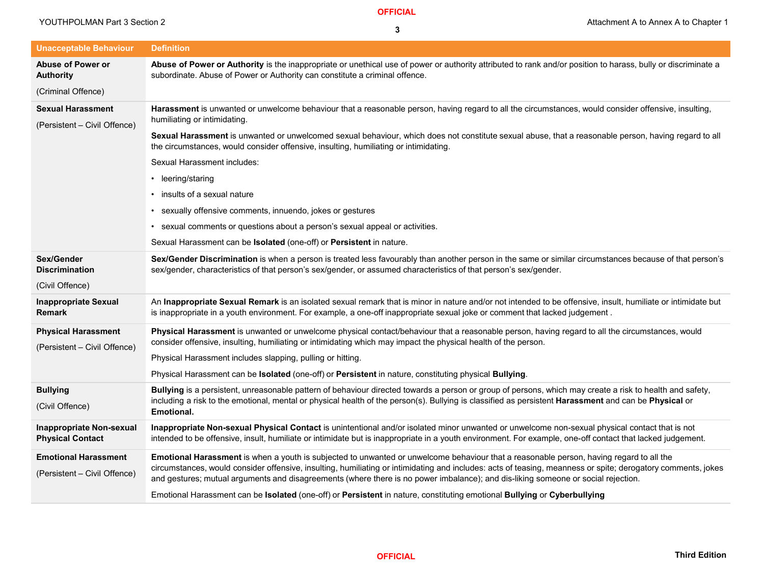**OFFICIAL**

| <b>Unacceptable Behaviour</b><br><b>Definition</b><br>Abuse of Power or Authority is the inappropriate or unethical use of power or authority attributed to rank and/or position to harass, bully or discriminate a<br><b>Abuse of Power or</b><br>subordinate. Abuse of Power or Authority can constitute a criminal offence.<br><b>Authority</b><br>(Criminal Offence)<br>Harassment is unwanted or unwelcome behaviour that a reasonable person, having regard to all the circumstances, would consider offensive, insulting,<br><b>Sexual Harassment</b><br>humiliating or intimidating.<br>(Persistent – Civil Offence)<br>Sexual Harassment is unwanted or unwelcomed sexual behaviour, which does not constitute sexual abuse, that a reasonable person, having regard to all<br>the circumstances, would consider offensive, insulting, humiliating or intimidating.<br><b>Sexual Harassment includes:</b><br>• leering/staring |  |
|-----------------------------------------------------------------------------------------------------------------------------------------------------------------------------------------------------------------------------------------------------------------------------------------------------------------------------------------------------------------------------------------------------------------------------------------------------------------------------------------------------------------------------------------------------------------------------------------------------------------------------------------------------------------------------------------------------------------------------------------------------------------------------------------------------------------------------------------------------------------------------------------------------------------------------------------|--|
|                                                                                                                                                                                                                                                                                                                                                                                                                                                                                                                                                                                                                                                                                                                                                                                                                                                                                                                                         |  |
|                                                                                                                                                                                                                                                                                                                                                                                                                                                                                                                                                                                                                                                                                                                                                                                                                                                                                                                                         |  |
|                                                                                                                                                                                                                                                                                                                                                                                                                                                                                                                                                                                                                                                                                                                                                                                                                                                                                                                                         |  |
|                                                                                                                                                                                                                                                                                                                                                                                                                                                                                                                                                                                                                                                                                                                                                                                                                                                                                                                                         |  |
|                                                                                                                                                                                                                                                                                                                                                                                                                                                                                                                                                                                                                                                                                                                                                                                                                                                                                                                                         |  |
|                                                                                                                                                                                                                                                                                                                                                                                                                                                                                                                                                                                                                                                                                                                                                                                                                                                                                                                                         |  |
|                                                                                                                                                                                                                                                                                                                                                                                                                                                                                                                                                                                                                                                                                                                                                                                                                                                                                                                                         |  |
| • insults of a sexual nature                                                                                                                                                                                                                                                                                                                                                                                                                                                                                                                                                                                                                                                                                                                                                                                                                                                                                                            |  |
| • sexually offensive comments, innuendo, jokes or gestures                                                                                                                                                                                                                                                                                                                                                                                                                                                                                                                                                                                                                                                                                                                                                                                                                                                                              |  |
| • sexual comments or questions about a person's sexual appeal or activities.                                                                                                                                                                                                                                                                                                                                                                                                                                                                                                                                                                                                                                                                                                                                                                                                                                                            |  |
| Sexual Harassment can be Isolated (one-off) or Persistent in nature.                                                                                                                                                                                                                                                                                                                                                                                                                                                                                                                                                                                                                                                                                                                                                                                                                                                                    |  |
| Sex/Gender Discrimination is when a person is treated less favourably than another person in the same or similar circumstances because of that person's<br>Sex/Gender<br>sex/gender, characteristics of that person's sex/gender, or assumed characteristics of that person's sex/gender.<br><b>Discrimination</b>                                                                                                                                                                                                                                                                                                                                                                                                                                                                                                                                                                                                                      |  |
| (Civil Offence)                                                                                                                                                                                                                                                                                                                                                                                                                                                                                                                                                                                                                                                                                                                                                                                                                                                                                                                         |  |
| An Inappropriate Sexual Remark is an isolated sexual remark that is minor in nature and/or not intended to be offensive, insult, humiliate or intimidate but<br><b>Inappropriate Sexual</b><br>is inappropriate in a youth environment. For example, a one-off inappropriate sexual joke or comment that lacked judgement.<br><b>Remark</b>                                                                                                                                                                                                                                                                                                                                                                                                                                                                                                                                                                                             |  |
| <b>Physical Harassment</b><br>Physical Harassment is unwanted or unwelcome physical contact/behaviour that a reasonable person, having regard to all the circumstances, would<br>consider offensive, insulting, humiliating or intimidating which may impact the physical health of the person.<br>(Persistent - Civil Offence)                                                                                                                                                                                                                                                                                                                                                                                                                                                                                                                                                                                                         |  |
| Physical Harassment includes slapping, pulling or hitting.                                                                                                                                                                                                                                                                                                                                                                                                                                                                                                                                                                                                                                                                                                                                                                                                                                                                              |  |
| Physical Harassment can be Isolated (one-off) or Persistent in nature, constituting physical Bullying.                                                                                                                                                                                                                                                                                                                                                                                                                                                                                                                                                                                                                                                                                                                                                                                                                                  |  |
| Bullying is a persistent, unreasonable pattern of behaviour directed towards a person or group of persons, which may create a risk to health and safety,<br><b>Bullying</b><br>including a risk to the emotional, mental or physical health of the person(s). Bullying is classified as persistent <b>Harassment</b> and can be <b>Physical</b> or<br>(Civil Offence)<br><b>Emotional.</b>                                                                                                                                                                                                                                                                                                                                                                                                                                                                                                                                              |  |
| Inappropriate Non-sexual Physical Contact is unintentional and/or isolated minor unwanted or unwelcome non-sexual physical contact that is not<br><b>Inappropriate Non-sexual</b><br>intended to be offensive, insult, humiliate or intimidate but is inappropriate in a youth environment. For example, one-off contact that lacked judgement.<br><b>Physical Contact</b>                                                                                                                                                                                                                                                                                                                                                                                                                                                                                                                                                              |  |
| <b>Emotional Harassment</b><br>Emotional Harassment is when a youth is subjected to unwanted or unwelcome behaviour that a reasonable person, having regard to all the<br>circumstances, would consider offensive, insulting, humiliating or intimidating and includes: acts of teasing, meanness or spite; derogatory comments, jokes<br>(Persistent - Civil Offence)<br>and gestures; mutual arguments and disagreements (where there is no power imbalance); and dis-liking someone or social rejection.<br>Emotional Harassment can be Isolated (one-off) or Persistent in nature, constituting emotional Bullying or Cyberbullying                                                                                                                                                                                                                                                                                                 |  |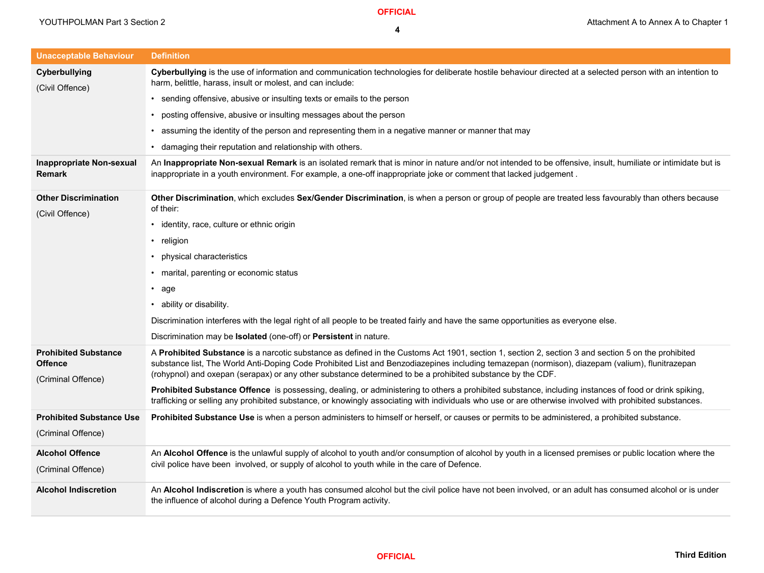| <b>Unacceptable Behaviour</b>                                       | <b>Definition</b>                                                                                                                                                                                                                                                                                                                                                                                                   |
|---------------------------------------------------------------------|---------------------------------------------------------------------------------------------------------------------------------------------------------------------------------------------------------------------------------------------------------------------------------------------------------------------------------------------------------------------------------------------------------------------|
| Cyberbullying<br>(Civil Offence)                                    | Cyberbullying is the use of information and communication technologies for deliberate hostile behaviour directed at a selected person with an intention to<br>harm, belittle, harass, insult or molest, and can include:                                                                                                                                                                                            |
|                                                                     | • sending offensive, abusive or insulting texts or emails to the person                                                                                                                                                                                                                                                                                                                                             |
|                                                                     | • posting offensive, abusive or insulting messages about the person                                                                                                                                                                                                                                                                                                                                                 |
|                                                                     | • assuming the identity of the person and representing them in a negative manner or manner that may                                                                                                                                                                                                                                                                                                                 |
|                                                                     | • damaging their reputation and relationship with others.                                                                                                                                                                                                                                                                                                                                                           |
| <b>Inappropriate Non-sexual</b><br><b>Remark</b>                    | An Inappropriate Non-sexual Remark is an isolated remark that is minor in nature and/or not intended to be offensive, insult, humiliate or intimidate but is<br>inappropriate in a youth environment. For example, a one-off inappropriate joke or comment that lacked judgement.                                                                                                                                   |
| <b>Other Discrimination</b><br>(Civil Offence)                      | Other Discrimination, which excludes Sex/Gender Discrimination, is when a person or group of people are treated less favourably than others because<br>of their:                                                                                                                                                                                                                                                    |
|                                                                     | • identity, race, culture or ethnic origin                                                                                                                                                                                                                                                                                                                                                                          |
|                                                                     | • religion                                                                                                                                                                                                                                                                                                                                                                                                          |
|                                                                     | • physical characteristics                                                                                                                                                                                                                                                                                                                                                                                          |
|                                                                     | • marital, parenting or economic status                                                                                                                                                                                                                                                                                                                                                                             |
|                                                                     | • age                                                                                                                                                                                                                                                                                                                                                                                                               |
|                                                                     | • ability or disability.                                                                                                                                                                                                                                                                                                                                                                                            |
|                                                                     | Discrimination interferes with the legal right of all people to be treated fairly and have the same opportunities as everyone else.                                                                                                                                                                                                                                                                                 |
|                                                                     | Discrimination may be <b>Isolated</b> (one-off) or <b>Persistent</b> in nature.                                                                                                                                                                                                                                                                                                                                     |
| <b>Prohibited Substance</b><br><b>Offence</b><br>(Criminal Offence) | A Prohibited Substance is a narcotic substance as defined in the Customs Act 1901, section 1, section 2, section 3 and section 5 on the prohibited<br>substance list, The World Anti-Doping Code Prohibited List and Benzodiazepines including temazepan (normison), diazepam (valium), flunitrazepan<br>(rohypnol) and oxepan (serapax) or any other substance determined to be a prohibited substance by the CDF. |
|                                                                     | Prohibited Substance Offence is possessing, dealing, or administering to others a prohibited substance, including instances of food or drink spiking,<br>trafficking or selling any prohibited substance, or knowingly associating with individuals who use or are otherwise involved with prohibited substances.                                                                                                   |
| <b>Prohibited Substance Use</b><br>(Criminal Offence)               | Prohibited Substance Use is when a person administers to himself or herself, or causes or permits to be administered, a prohibited substance.                                                                                                                                                                                                                                                                       |
| <b>Alcohol Offence</b><br>(Criminal Offence)                        | An Alcohol Offence is the unlawful supply of alcohol to youth and/or consumption of alcohol by youth in a licensed premises or public location where the<br>civil police have been involved, or supply of alcohol to youth while in the care of Defence.                                                                                                                                                            |
| <b>Alcohol Indiscretion</b>                                         | An Alcohol Indiscretion is where a youth has consumed alcohol but the civil police have not been involved, or an adult has consumed alcohol or is under<br>the influence of alcohol during a Defence Youth Program activity.                                                                                                                                                                                        |